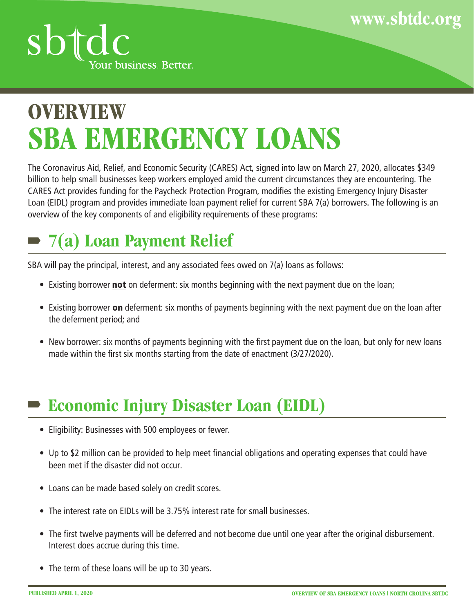



## **SBA EMERGENCY LOANS OVERVIEW**

The Coronavirus Aid, Relief, and Economic Security (CARES) Act, signed into law on March 27, 2020, allocates \$349 billion to help small businesses keep workers employed amid the current circumstances they are encountering. The CARES Act provides funding for the Paycheck Protection Program, modifies the existing Emergency Injury Disaster Loan (EIDL) program and provides immediate loan payment relief for current SBA 7(a) borrowers. The following is an overview of the key components of and eligibility requirements of these programs:

## **7(a) Loan Payment Relief**

SBA will pay the principal, interest, and any associated fees owed on 7(a) loans as follows:

- Existing borrower **not** on deferment: six months beginning with the next payment due on the loan;
- Existing borrower on deferment: six months of payments beginning with the next payment due on the loan after the deferment period; and
- New borrower: six months of payments beginning with the first payment due on the loan, but only for new loans made within the first six months starting from the date of enactment (3/27/2020).

#### **Economic Injury Disaster Loan (EIDL)**

- Eligibility: Businesses with 500 employees or fewer.
- Up to \$2 million can be provided to help meet financial obligations and operating expenses that could have been met if the disaster did not occur.
- Loans can be made based solely on credit scores.
- The interest rate on EIDLs will be 3.75% interest rate for small businesses.
- The first twelve payments will be deferred and not become due until one year after the original disbursement. Interest does accrue during this time.
- The term of these loans will be up to 30 years.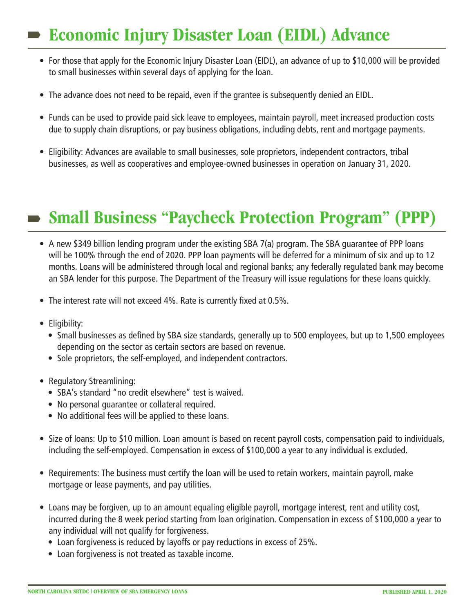#### **Economic Injury Disaster Loan (EIDL) Advance**

- For those that apply for the Economic Injury Disaster Loan (EIDL), an advance of up to \$10,000 will be provided to small businesses within several days of applying for the loan.
- The advance does not need to be repaid, even if the grantee is subsequently denied an EIDL.
- Funds can be used to provide paid sick leave to employees, maintain payroll, meet increased production costs due to supply chain disruptions, or pay business obligations, including debts, rent and mortgage payments.
- Eligibility: Advances are available to small businesses, sole proprietors, independent contractors, tribal businesses, as well as cooperatives and employee-owned businesses in operation on January 31, 2020.

## **Small Business "Paycheck Protection Program" (PPP)**

- A new \$349 billion lending program under the existing SBA 7(a) program. The SBA guarantee of PPP loans will be 100% through the end of 2020. PPP loan payments will be deferred for a minimum of six and up to 12 months. Loans will be administered through local and regional banks; any federally regulated bank may become an SBA lender for this purpose. The Department of the Treasury will issue regulations for these loans quickly.
- The interest rate will not exceed 4%. Rate is currently fixed at 0.5%.
- Eligibility:
	- Small businesses as defined by SBA size standards, generally up to 500 employees, but up to 1,500 employees depending on the sector as certain sectors are based on revenue.
	- Sole proprietors, the self-employed, and independent contractors.
- Regulatory Streamlining:
	- SBA's standard "no credit elsewhere" test is waived.
	- No personal guarantee or collateral required.
	- No additional fees will be applied to these loans.
- Size of loans: Up to \$10 million. Loan amount is based on recent payroll costs, compensation paid to individuals, including the self-employed. Compensation in excess of \$100,000 a year to any individual is excluded.
- Requirements: The business must certify the loan will be used to retain workers, maintain payroll, make mortgage or lease payments, and pay utilities.
- Loans may be forgiven, up to an amount equaling eligible payroll, mortgage interest, rent and utility cost, incurred during the 8 week period starting from loan origination. Compensation in excess of \$100,000 a year to any individual will not qualify for forgiveness.
	- Loan forgiveness is reduced by layoffs or pay reductions in excess of 25%.
	- Loan forgiveness is not treated as taxable income.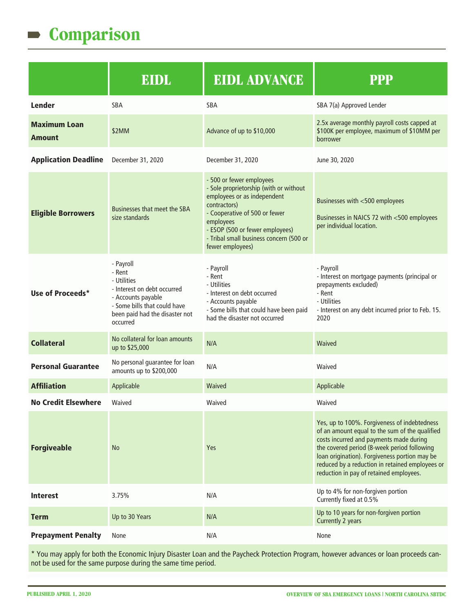#### **Comparison**  $\blacksquare$

|                                      | EIDL                                                                                                                                                                  | <b>EIDL ADVANCE</b>                                                                                                                                                                                                                                               | <b>PPP</b>                                                                                                                                                                                                                                                                                                                              |
|--------------------------------------|-----------------------------------------------------------------------------------------------------------------------------------------------------------------------|-------------------------------------------------------------------------------------------------------------------------------------------------------------------------------------------------------------------------------------------------------------------|-----------------------------------------------------------------------------------------------------------------------------------------------------------------------------------------------------------------------------------------------------------------------------------------------------------------------------------------|
| <b>Lender</b>                        | SBA                                                                                                                                                                   | <b>SBA</b>                                                                                                                                                                                                                                                        | SBA 7(a) Approved Lender                                                                                                                                                                                                                                                                                                                |
| <b>Maximum Loan</b><br><b>Amount</b> | \$2MM                                                                                                                                                                 | Advance of up to \$10,000                                                                                                                                                                                                                                         | 2.5x average monthly payroll costs capped at<br>\$100K per employee, maximum of \$10MM per<br>borrower                                                                                                                                                                                                                                  |
| <b>Application Deadline</b>          | December 31, 2020                                                                                                                                                     | December 31, 2020                                                                                                                                                                                                                                                 | June 30, 2020                                                                                                                                                                                                                                                                                                                           |
| <b>Eligible Borrowers</b>            | Businesses that meet the SBA<br>size standards                                                                                                                        | - 500 or fewer employees<br>- Sole proprietorship (with or without<br>employees or as independent<br>contractors)<br>- Cooperative of 500 or fewer<br>employees<br>- ESOP (500 or fewer employees)<br>- Tribal small business concern (500 or<br>fewer employees) | Businesses with <500 employees<br>Businesses in NAICS 72 with <500 employees<br>per individual location.                                                                                                                                                                                                                                |
| Use of Proceeds*                     | - Payroll<br>- Rent<br>- Utilities<br>- Interest on debt occurred<br>- Accounts payable<br>- Some bills that could have<br>been paid had the disaster not<br>occurred | - Payroll<br>- Rent<br>- Utilities<br>- Interest on debt occurred<br>- Accounts payable<br>- Some bills that could have been paid<br>had the disaster not occurred                                                                                                | - Payroll<br>- Interest on mortgage payments (principal or<br>prepayments excluded)<br>- Rent<br>- Utilities<br>- Interest on any debt incurred prior to Feb. 15.<br>2020                                                                                                                                                               |
| <b>Collateral</b>                    | No collateral for loan amounts<br>up to \$25,000                                                                                                                      | N/A                                                                                                                                                                                                                                                               | Waived                                                                                                                                                                                                                                                                                                                                  |
| <b>Personal Guarantee</b>            | No personal guarantee for loan<br>amounts up to \$200,000                                                                                                             | N/A                                                                                                                                                                                                                                                               | Waived                                                                                                                                                                                                                                                                                                                                  |
| <b>Affiliation</b>                   | Applicable                                                                                                                                                            | Waived                                                                                                                                                                                                                                                            | Applicable                                                                                                                                                                                                                                                                                                                              |
| <b>No Credit Elsewhere</b>           | Waived                                                                                                                                                                | Waived                                                                                                                                                                                                                                                            | Waived                                                                                                                                                                                                                                                                                                                                  |
| <b>Forgiveable</b>                   | <b>No</b>                                                                                                                                                             | Yes                                                                                                                                                                                                                                                               | Yes, up to 100%. Forgiveness of indebtedness<br>of an amount equal to the sum of the qualified<br>costs incurred and payments made during<br>the covered period (8-week period following<br>loan origination). Forgiveness portion may be<br>reduced by a reduction in retained employees or<br>reduction in pay of retained employees. |
| <b>Interest</b>                      | 3.75%                                                                                                                                                                 | N/A                                                                                                                                                                                                                                                               | Up to 4% for non-forgiven portion<br>Currently fixed at 0.5%                                                                                                                                                                                                                                                                            |
| <b>Term</b>                          | Up to 30 Years                                                                                                                                                        | N/A                                                                                                                                                                                                                                                               | Up to 10 years for non-forgiven portion<br>Currently 2 years                                                                                                                                                                                                                                                                            |
| <b>Prepayment Penalty</b>            | None                                                                                                                                                                  | N/A                                                                                                                                                                                                                                                               | None                                                                                                                                                                                                                                                                                                                                    |

\* You may apply for both the Economic Injury Disaster Loan and the Paycheck Protection Program, however advances or loan proceeds cannot be used for the same purpose during the same time period.